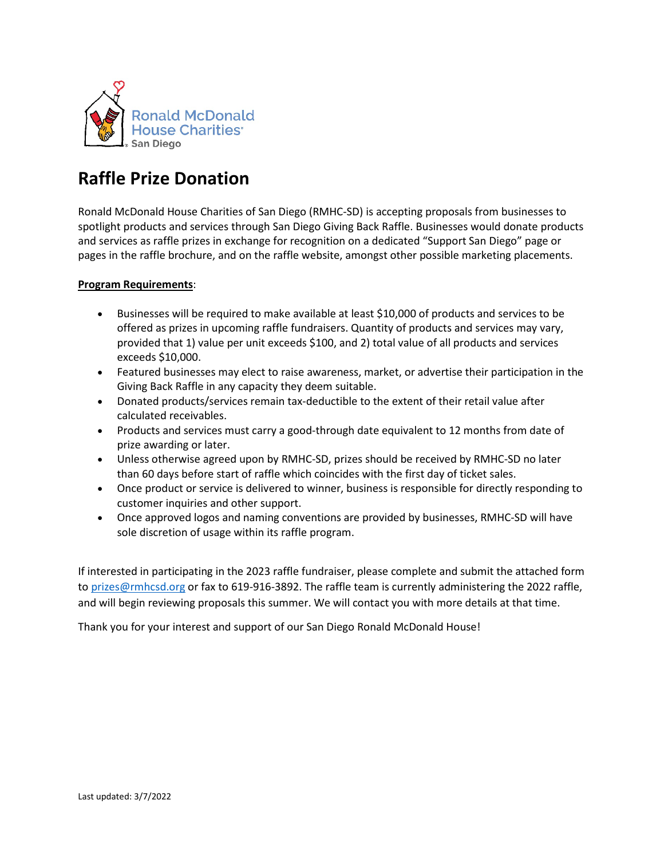

## **Raffle Prize Donation**

Ronald McDonald House Charities of San Diego (RMHC-SD) is accepting proposals from businesses to spotlight products and services through San Diego Giving Back Raffle. Businesses would donate products and services as raffle prizes in exchange for recognition on a dedicated "Support San Diego" page or pages in the raffle brochure, and on the raffle website, amongst other possible marketing placements.

## **Program Requirements**:

- Businesses will be required to make available at least \$10,000 of products and services to be offered as prizes in upcoming raffle fundraisers. Quantity of products and services may vary, provided that 1) value per unit exceeds \$100, and 2) total value of all products and services exceeds \$10,000.
- Featured businesses may elect to raise awareness, market, or advertise their participation in the Giving Back Raffle in any capacity they deem suitable.
- Donated products/services remain tax-deductible to the extent of their retail value after calculated receivables.
- Products and services must carry a good-through date equivalent to 12 months from date of prize awarding or later.
- Unless otherwise agreed upon by RMHC-SD, prizes should be received by RMHC-SD no later than 60 days before start of raffle which coincides with the first day of ticket sales.
- Once product or service is delivered to winner, business is responsible for directly responding to customer inquiries and other support.
- Once approved logos and naming conventions are provided by businesses, RMHC-SD will have sole discretion of usage within its raffle program.

If interested in participating in the 2023 raffle fundraiser, please complete and submit the attached form to [prizes@rmhcsd.org](mailto:prizes@rmhcsd.org) or fax to 619-916-3892. The raffle team is currently administering the 2022 raffle, and will begin reviewing proposals this summer. We will contact you with more details at that time.

Thank you for your interest and support of our San Diego Ronald McDonald House!